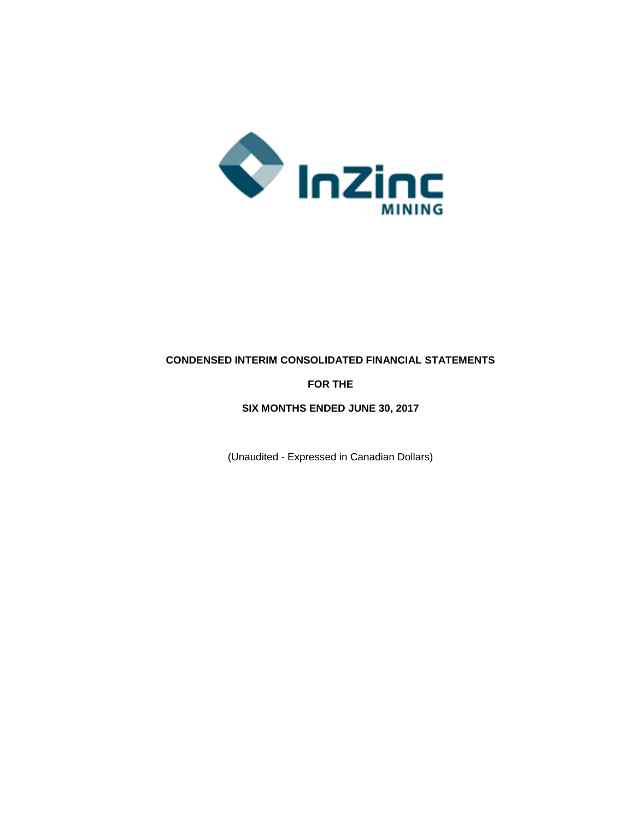

# **CONDENSED INTERIM CONSOLIDATED FINANCIAL STATEMENTS**

# **FOR THE**

#### **SIX MONTHS ENDED JUNE 30, 2017**

(Unaudited - Expressed in Canadian Dollars)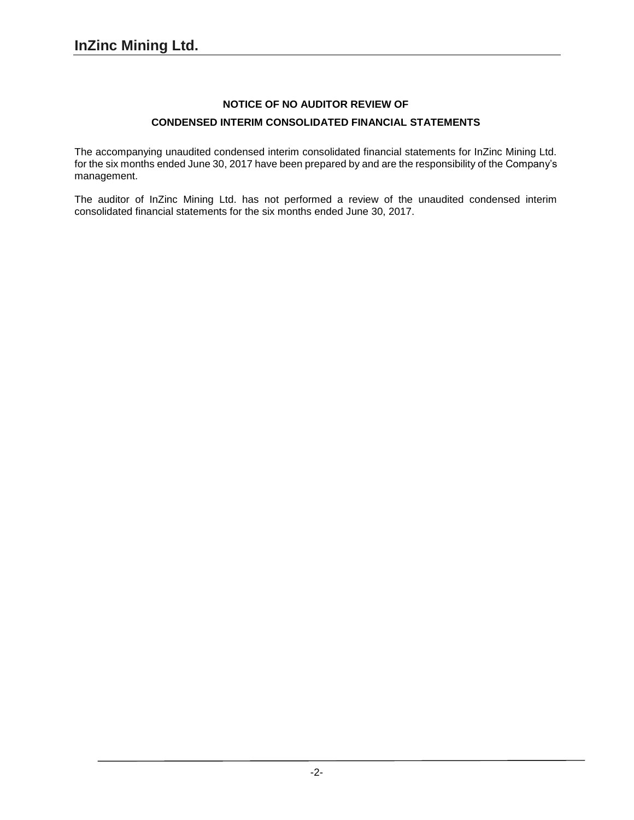# **NOTICE OF NO AUDITOR REVIEW OF CONDENSED INTERIM CONSOLIDATED FINANCIAL STATEMENTS**

The accompanying unaudited condensed interim consolidated financial statements for InZinc Mining Ltd. for the six months ended June 30, 2017 have been prepared by and are the responsibility of the Company's management.

The auditor of InZinc Mining Ltd. has not performed a review of the unaudited condensed interim consolidated financial statements for the six months ended June 30, 2017.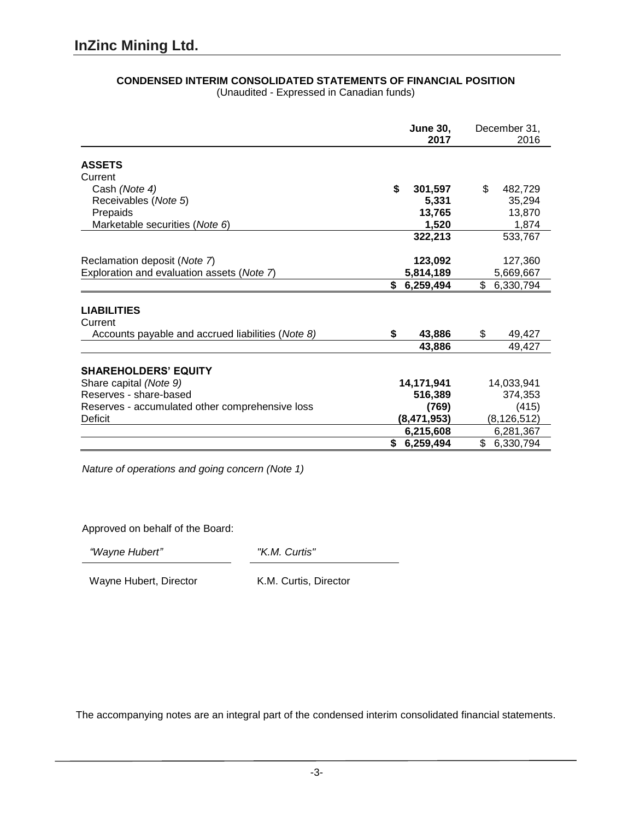|                                                   | <b>June 30,</b><br>2017 | December 31,<br>2016 |
|---------------------------------------------------|-------------------------|----------------------|
| <b>ASSETS</b>                                     |                         |                      |
| Current                                           |                         |                      |
| Cash (Note 4)                                     | \$<br>301,597           | \$<br>482,729        |
| Receivables (Note 5)                              | 5,331                   | 35,294               |
| Prepaids                                          | 13,765                  | 13,870               |
| Marketable securities (Note 6)                    | 1,520                   | 1,874                |
|                                                   | 322,213                 | 533,767              |
| Reclamation deposit (Note 7)                      | 123,092                 | 127,360              |
| Exploration and evaluation assets (Note 7)        | 5,814,189               | 5,669,667            |
|                                                   | \$6,259,494             | \$<br>6,330,794      |
| <b>LIABILITIES</b><br>Current                     |                         |                      |
| Accounts payable and accrued liabilities (Note 8) | \$<br>43,886            | \$<br>49,427         |
|                                                   | 43,886                  | 49,427               |
| <b>SHAREHOLDERS' EQUITY</b>                       |                         |                      |
| Share capital (Note 9)                            | 14,171,941              | 14,033,941           |
| Reserves - share-based                            | 516,389                 | 374,353              |
| Reserves - accumulated other comprehensive loss   | (769)                   | (415)                |
| Deficit                                           | (8, 471, 953)           | (8, 126, 512)        |
|                                                   | 6,215,608               | 6,281,367            |
|                                                   | \$6,259,494             | \$<br>6,330,794      |

# **CONDENSED INTERIM CONSOLIDATED STATEMENTS OF FINANCIAL POSITION**

(Unaudited - Expressed in Canadian funds)

*Nature of operations and going concern (Note 1)*

Approved on behalf of the Board:

*"Wayne Hubert" "K.M. Curtis"*

Wayne Hubert, Director K.M. Curtis, Director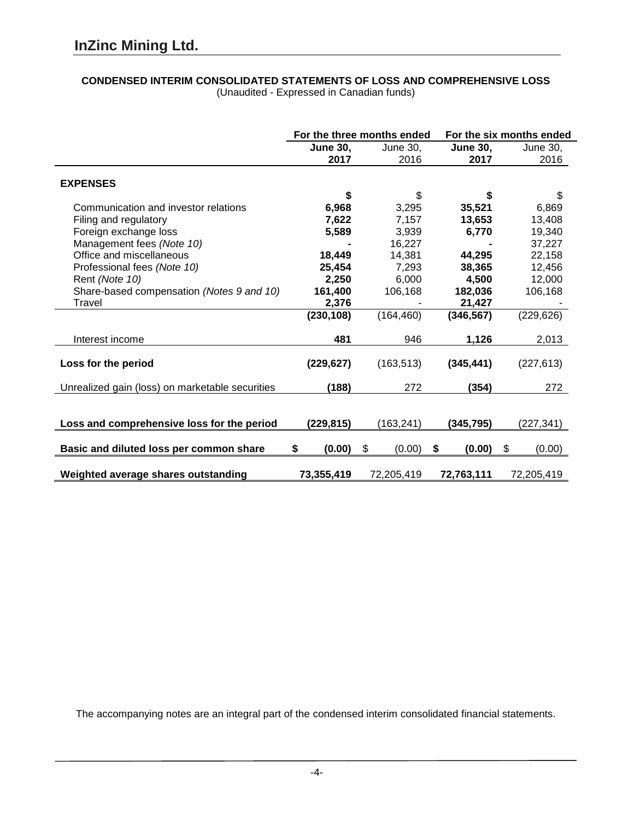#### **CONDENSED INTERIM CONSOLIDATED STATEMENTS OF LOSS AND COMPREHENSIVE LOSS** (Unaudited - Expressed in Canadian funds)

|                                                 | For the three months ended |              |                 | For the six months ended |  |
|-------------------------------------------------|----------------------------|--------------|-----------------|--------------------------|--|
|                                                 | <b>June 30,</b>            | June 30,     | <b>June 30,</b> | June 30,                 |  |
|                                                 | 2017                       | 2016         | 2017            | 2016                     |  |
|                                                 |                            |              |                 |                          |  |
| <b>EXPENSES</b>                                 |                            |              |                 |                          |  |
|                                                 | \$                         | \$           | \$              | \$                       |  |
| Communication and investor relations            | 6,968                      | 3,295        | 35,521          | 6,869                    |  |
| Filing and regulatory                           | 7,622                      | 7,157        | 13,653          | 13,408                   |  |
| Foreign exchange loss                           | 5,589                      | 3,939        | 6,770           | 19,340                   |  |
| Management fees (Note 10)                       |                            | 16,227       |                 | 37,227                   |  |
| Office and miscellaneous                        | 18,449                     | 14,381       | 44,295          | 22,158                   |  |
| Professional fees (Note 10)                     | 25,454                     | 7,293        | 38,365          | 12,456                   |  |
| Rent (Note 10)                                  | 2,250                      | 6,000        | 4,500           | 12,000                   |  |
| Share-based compensation (Notes 9 and 10)       | 161,400                    | 106,168      | 182,036         | 106,168                  |  |
| Travel                                          | 2,376                      |              | 21,427          |                          |  |
|                                                 | (230, 108)                 | (164, 460)   | (346, 567)      | (229, 626)               |  |
| Interest income                                 | 481                        | 946          | 1,126           | 2,013                    |  |
|                                                 |                            |              |                 |                          |  |
| Loss for the period                             | (229, 627)                 | (163, 513)   | (345, 441)      | (227, 613)               |  |
| Unrealized gain (loss) on marketable securities | (188)                      | 272          | (354)           | 272                      |  |
|                                                 |                            |              |                 |                          |  |
| Loss and comprehensive loss for the period      | (229, 815)                 | (163, 241)   | (345, 795)      | (227, 341)               |  |
| Basic and diluted loss per common share         | \$<br>(0.00)               | \$<br>(0.00) | (0.00)<br>\$    | \$<br>(0.00)             |  |
|                                                 |                            |              |                 |                          |  |
| Weighted average shares outstanding             | 73,355,419                 | 72,205,419   | 72,763,111      | 72,205,419               |  |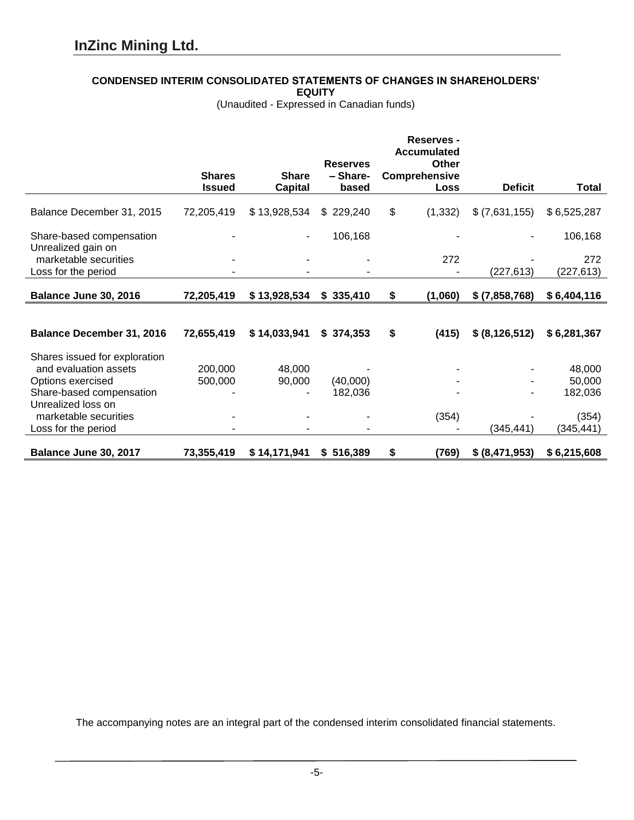## **CONDENSED INTERIM CONSOLIDATED STATEMENTS OF CHANGES IN SHAREHOLDERS'**

**EQUITY**

(Unaudited - Expressed in Canadian funds)

|                                                |                                |                                | <b>Reserves</b>   | Reserves -<br><b>Accumulated</b><br>Other |                  |              |
|------------------------------------------------|--------------------------------|--------------------------------|-------------------|-------------------------------------------|------------------|--------------|
|                                                | <b>Shares</b><br><b>Issued</b> | <b>Share</b><br><b>Capital</b> | - Share-<br>based | <b>Comprehensive</b><br>Loss              | <b>Deficit</b>   | <b>Total</b> |
| Balance December 31, 2015                      | 72,205,419                     | \$13,928,534                   | \$229,240         | \$<br>(1, 332)                            | \$(7,631,155)    | \$6,525,287  |
| Share-based compensation<br>Unrealized gain on |                                | $\blacksquare$                 | 106,168           |                                           |                  | 106,168      |
| marketable securities                          |                                |                                |                   | 272                                       |                  | 272          |
| Loss for the period                            |                                |                                |                   |                                           | (227, 613)       | (227, 613)   |
|                                                |                                |                                |                   |                                           |                  |              |
| Balance June 30, 2016                          | 72,205,419                     | \$13,928,534                   | \$335,410         | \$<br>(1,060)                             | $$$ (7,858,768)  | \$6,404,116  |
|                                                |                                |                                |                   |                                           |                  |              |
| <b>Balance December 31, 2016</b>               | 72,655,419                     | \$14,033,941                   | \$374,353         | \$<br>(415)                               | \$ (8, 126, 512) | \$6,281,367  |
| Shares issued for exploration                  |                                |                                |                   |                                           |                  |              |
| and evaluation assets                          | 200,000                        | 48,000                         |                   |                                           |                  | 48,000       |
| Options exercised                              | 500,000                        | 90,000                         | (40,000)          |                                           |                  | 50,000       |
| Share-based compensation                       |                                |                                | 182,036           |                                           |                  | 182,036      |
| Unrealized loss on                             |                                |                                |                   |                                           |                  |              |
| marketable securities                          |                                |                                |                   | (354)                                     |                  | (354)        |
| Loss for the period                            |                                |                                |                   |                                           | (345, 441)       | (345, 441)   |
| Balance June 30, 2017                          | 73,355,419                     | \$14,171,941                   | \$516,389         | \$<br>(769)                               | \$ (8,471,953)   | \$6,215,608  |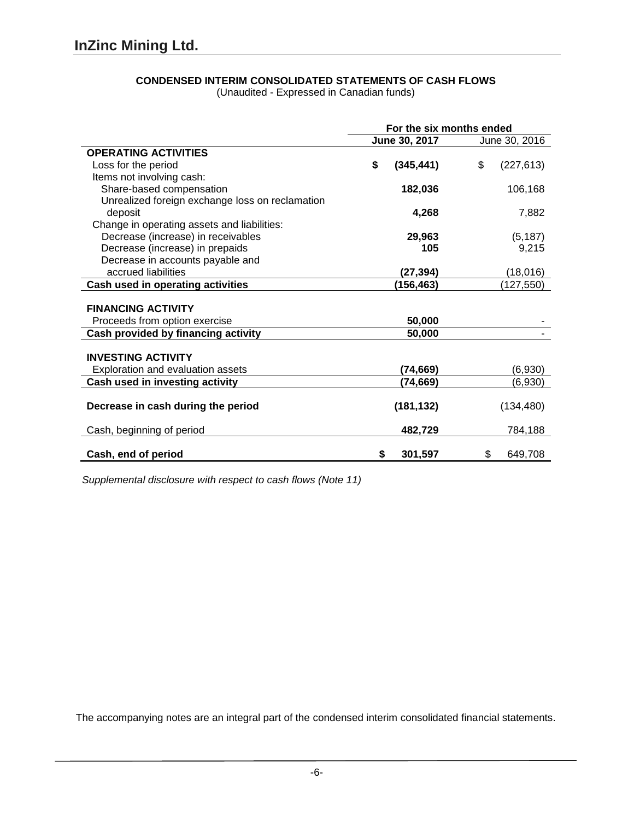(Unaudited - Expressed in Canadian funds)

|                                                 | For the six months ended |                  |  |
|-------------------------------------------------|--------------------------|------------------|--|
|                                                 | June 30, 2017            | June 30, 2016    |  |
| <b>OPERATING ACTIVITIES</b>                     |                          |                  |  |
| Loss for the period                             | \$<br>(345, 441)         | \$<br>(227, 613) |  |
| Items not involving cash:                       |                          |                  |  |
| Share-based compensation                        | 182,036                  | 106,168          |  |
| Unrealized foreign exchange loss on reclamation |                          |                  |  |
| deposit                                         | 4,268                    | 7,882            |  |
| Change in operating assets and liabilities:     |                          |                  |  |
| Decrease (increase) in receivables              | 29,963                   | (5, 187)         |  |
| Decrease (increase) in prepaids                 | 105                      | 9,215            |  |
| Decrease in accounts payable and                |                          |                  |  |
| accrued liabilities                             | (27, 394)                | (18,016)         |  |
| Cash used in operating activities               | (156, 463)               | (127, 550)       |  |
|                                                 |                          |                  |  |
| <b>FINANCING ACTIVITY</b>                       |                          |                  |  |
| Proceeds from option exercise                   | 50,000                   |                  |  |
| Cash provided by financing activity             | 50,000                   |                  |  |
|                                                 |                          |                  |  |
| <b>INVESTING ACTIVITY</b>                       |                          |                  |  |
| Exploration and evaluation assets               | (74, 669)                | (6,930)          |  |
| Cash used in investing activity                 | (74, 669)                | (6,930)          |  |
|                                                 |                          |                  |  |
| Decrease in cash during the period              | (181, 132)               | (134, 480)       |  |
|                                                 |                          |                  |  |
| Cash, beginning of period                       | 482,729                  | 784,188          |  |
|                                                 |                          |                  |  |
| Cash, end of period                             | 301,597<br>\$            | 649,708<br>\$    |  |

*Supplemental disclosure with respect to cash flows (Note 11)*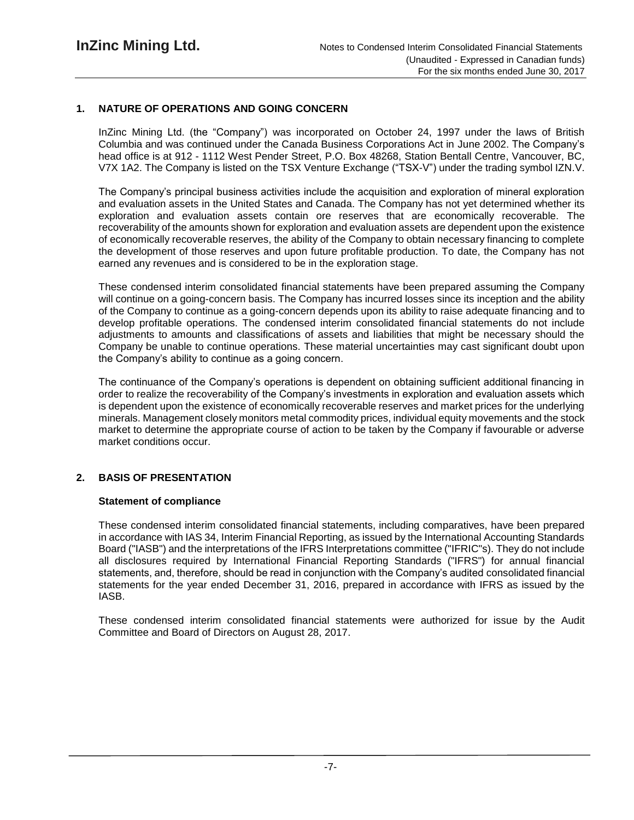# **1. NATURE OF OPERATIONS AND GOING CONCERN**

InZinc Mining Ltd. (the "Company") was incorporated on October 24, 1997 under the laws of British Columbia and was continued under the Canada Business Corporations Act in June 2002. The Company's head office is at 912 - 1112 West Pender Street, P.O. Box 48268, Station Bentall Centre, Vancouver, BC, V7X 1A2. The Company is listed on the TSX Venture Exchange ("TSX-V") under the trading symbol IZN.V.

The Company's principal business activities include the acquisition and exploration of mineral exploration and evaluation assets in the United States and Canada. The Company has not yet determined whether its exploration and evaluation assets contain ore reserves that are economically recoverable. The recoverability of the amounts shown for exploration and evaluation assets are dependent upon the existence of economically recoverable reserves, the ability of the Company to obtain necessary financing to complete the development of those reserves and upon future profitable production. To date, the Company has not earned any revenues and is considered to be in the exploration stage.

These condensed interim consolidated financial statements have been prepared assuming the Company will continue on a going-concern basis. The Company has incurred losses since its inception and the ability of the Company to continue as a going-concern depends upon its ability to raise adequate financing and to develop profitable operations. The condensed interim consolidated financial statements do not include adjustments to amounts and classifications of assets and liabilities that might be necessary should the Company be unable to continue operations. These material uncertainties may cast significant doubt upon the Company's ability to continue as a going concern.

The continuance of the Company's operations is dependent on obtaining sufficient additional financing in order to realize the recoverability of the Company's investments in exploration and evaluation assets which is dependent upon the existence of economically recoverable reserves and market prices for the underlying minerals. Management closely monitors metal commodity prices, individual equity movements and the stock market to determine the appropriate course of action to be taken by the Company if favourable or adverse market conditions occur.

# **2. BASIS OF PRESENTATION**

## **Statement of compliance**

These condensed interim consolidated financial statements, including comparatives, have been prepared in accordance with IAS 34, Interim Financial Reporting, as issued by the International Accounting Standards Board ("IASB") and the interpretations of the IFRS Interpretations committee ("IFRIC"s). They do not include all disclosures required by International Financial Reporting Standards ("IFRS") for annual financial statements, and, therefore, should be read in conjunction with the Company's audited consolidated financial statements for the year ended December 31, 2016, prepared in accordance with IFRS as issued by the IASB.

These condensed interim consolidated financial statements were authorized for issue by the Audit Committee and Board of Directors on August 28, 2017.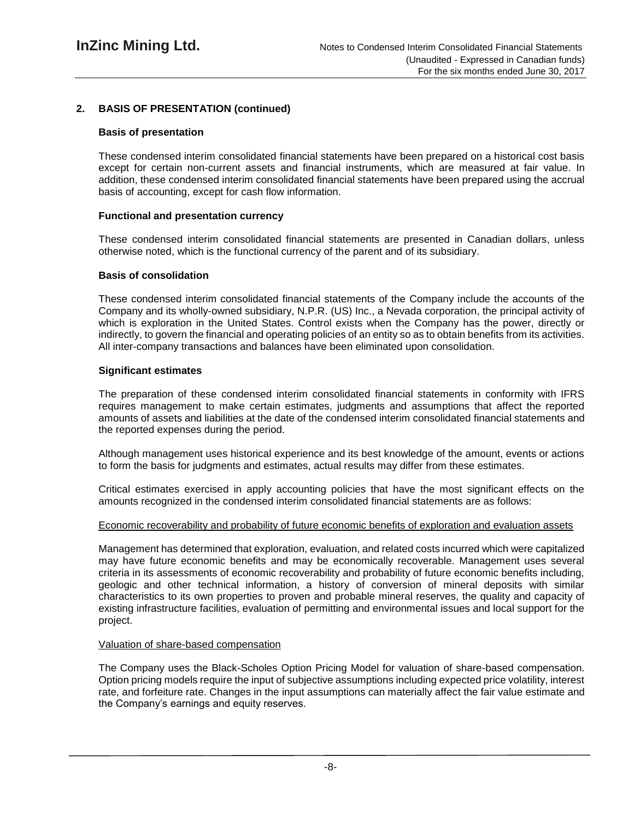# **2. BASIS OF PRESENTATION (continued)**

## **Basis of presentation**

These condensed interim consolidated financial statements have been prepared on a historical cost basis except for certain non-current assets and financial instruments, which are measured at fair value. In addition, these condensed interim consolidated financial statements have been prepared using the accrual basis of accounting, except for cash flow information.

# **Functional and presentation currency**

These condensed interim consolidated financial statements are presented in Canadian dollars, unless otherwise noted, which is the functional currency of the parent and of its subsidiary.

## **Basis of consolidation**

These condensed interim consolidated financial statements of the Company include the accounts of the Company and its wholly-owned subsidiary, N.P.R. (US) Inc., a Nevada corporation, the principal activity of which is exploration in the United States. Control exists when the Company has the power, directly or indirectly, to govern the financial and operating policies of an entity so as to obtain benefits from its activities. All inter-company transactions and balances have been eliminated upon consolidation.

# **Significant estimates**

The preparation of these condensed interim consolidated financial statements in conformity with IFRS requires management to make certain estimates, judgments and assumptions that affect the reported amounts of assets and liabilities at the date of the condensed interim consolidated financial statements and the reported expenses during the period.

Although management uses historical experience and its best knowledge of the amount, events or actions to form the basis for judgments and estimates, actual results may differ from these estimates.

Critical estimates exercised in apply accounting policies that have the most significant effects on the amounts recognized in the condensed interim consolidated financial statements are as follows:

## Economic recoverability and probability of future economic benefits of exploration and evaluation assets

Management has determined that exploration, evaluation, and related costs incurred which were capitalized may have future economic benefits and may be economically recoverable. Management uses several criteria in its assessments of economic recoverability and probability of future economic benefits including, geologic and other technical information, a history of conversion of mineral deposits with similar characteristics to its own properties to proven and probable mineral reserves, the quality and capacity of existing infrastructure facilities, evaluation of permitting and environmental issues and local support for the project.

## Valuation of share-based compensation

The Company uses the Black-Scholes Option Pricing Model for valuation of share-based compensation. Option pricing models require the input of subjective assumptions including expected price volatility, interest rate, and forfeiture rate. Changes in the input assumptions can materially affect the fair value estimate and the Company's earnings and equity reserves.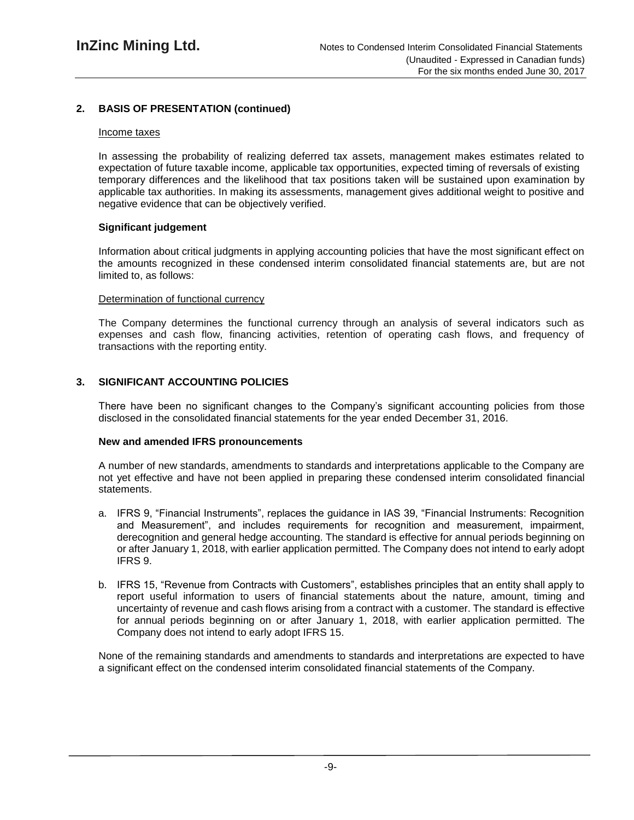# **2. BASIS OF PRESENTATION (continued)**

#### Income taxes

In assessing the probability of realizing deferred tax assets, management makes estimates related to expectation of future taxable income, applicable tax opportunities, expected timing of reversals of existing temporary differences and the likelihood that tax positions taken will be sustained upon examination by applicable tax authorities. In making its assessments, management gives additional weight to positive and negative evidence that can be objectively verified.

#### **Significant judgement**

Information about critical judgments in applying accounting policies that have the most significant effect on the amounts recognized in these condensed interim consolidated financial statements are, but are not limited to, as follows:

#### Determination of functional currency

The Company determines the functional currency through an analysis of several indicators such as expenses and cash flow, financing activities, retention of operating cash flows, and frequency of transactions with the reporting entity.

#### **3. SIGNIFICANT ACCOUNTING POLICIES**

There have been no significant changes to the Company's significant accounting policies from those disclosed in the consolidated financial statements for the year ended December 31, 2016.

#### **New and amended IFRS pronouncements**

A number of new standards, amendments to standards and interpretations applicable to the Company are not yet effective and have not been applied in preparing these condensed interim consolidated financial statements.

- a. IFRS 9, "Financial Instruments", replaces the guidance in IAS 39, "Financial Instruments: Recognition and Measurement", and includes requirements for recognition and measurement, impairment, derecognition and general hedge accounting. The standard is effective for annual periods beginning on or after January 1, 2018, with earlier application permitted. The Company does not intend to early adopt IFRS 9.
- b. IFRS 15, "Revenue from Contracts with Customers", establishes principles that an entity shall apply to report useful information to users of financial statements about the nature, amount, timing and uncertainty of revenue and cash flows arising from a contract with a customer. The standard is effective for annual periods beginning on or after January 1, 2018, with earlier application permitted. The Company does not intend to early adopt IFRS 15.

None of the remaining standards and amendments to standards and interpretations are expected to have a significant effect on the condensed interim consolidated financial statements of the Company.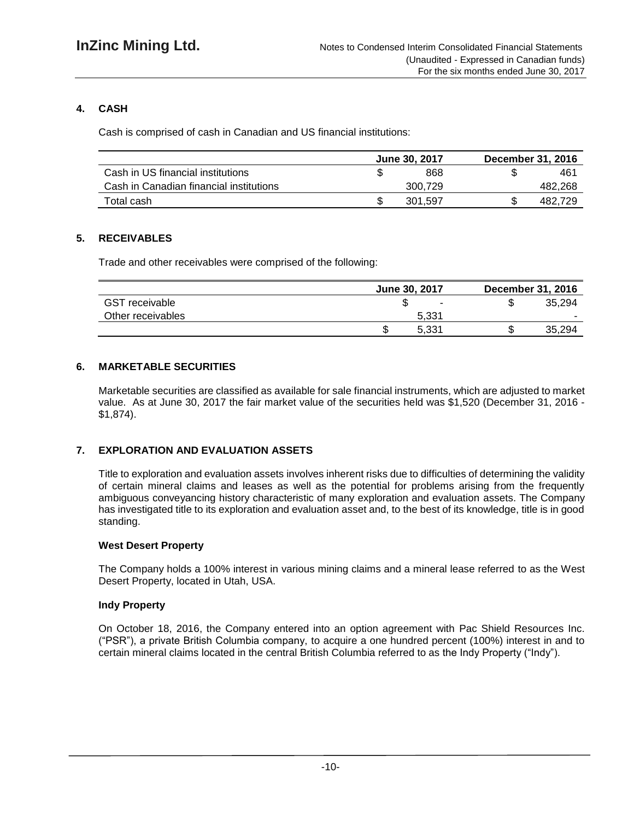# **4. CASH**

Cash is comprised of cash in Canadian and US financial institutions:

|                                         | June 30, 2017 | December 31, 2016 |
|-----------------------------------------|---------------|-------------------|
| Cash in US financial institutions       | 868           | 461               |
| Cash in Canadian financial institutions | 300.729       | 482,268           |
| Total cash                              | 301,597       | 482.729           |

# **5. RECEIVABLES**

Trade and other receivables were comprised of the following:

|                       | June 30, 2017 | <b>December 31, 2016</b> |
|-----------------------|---------------|--------------------------|
| <b>GST</b> receivable |               | 35.294<br>æ              |
| Other receivables     | 5.331         | -                        |
|                       | 5.331<br>ιIJ  | 35,294                   |

# **6. MARKETABLE SECURITIES**

Marketable securities are classified as available for sale financial instruments, which are adjusted to market value. As at June 30, 2017 the fair market value of the securities held was \$1,520 (December 31, 2016 - \$1,874).

## **7. EXPLORATION AND EVALUATION ASSETS**

Title to exploration and evaluation assets involves inherent risks due to difficulties of determining the validity of certain mineral claims and leases as well as the potential for problems arising from the frequently ambiguous conveyancing history characteristic of many exploration and evaluation assets. The Company has investigated title to its exploration and evaluation asset and, to the best of its knowledge, title is in good standing.

## **West Desert Property**

The Company holds a 100% interest in various mining claims and a mineral lease referred to as the West Desert Property, located in Utah, USA.

## **Indy Property**

On October 18, 2016, the Company entered into an option agreement with Pac Shield Resources Inc. ("PSR"), a private British Columbia company, to acquire a one hundred percent (100%) interest in and to certain mineral claims located in the central British Columbia referred to as the Indy Property ("Indy").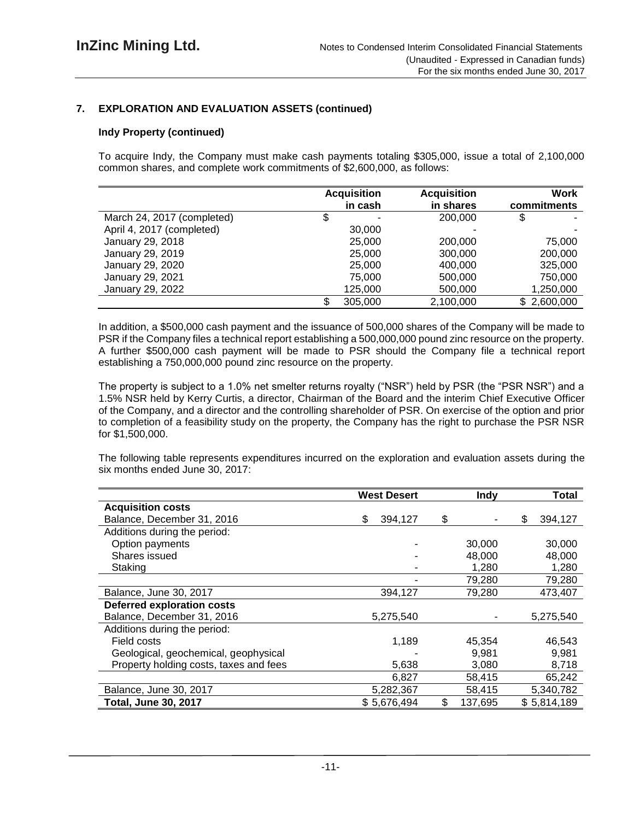# **7. EXPLORATION AND EVALUATION ASSETS (continued)**

#### **Indy Property (continued)**

To acquire Indy, the Company must make cash payments totaling \$305,000, issue a total of 2,100,000 common shares, and complete work commitments of \$2,600,000, as follows:

|                            | <b>Acquisition</b> | <b>Acquisition</b> | <b>Work</b> |
|----------------------------|--------------------|--------------------|-------------|
|                            | in cash            | in shares          | commitments |
| March 24, 2017 (completed) | \$                 | 200,000            |             |
| April 4, 2017 (completed)  | 30,000             |                    |             |
| January 29, 2018           | 25,000             | 200,000            | 75,000      |
| January 29, 2019           | 25,000             | 300,000            | 200,000     |
| January 29, 2020           | 25,000             | 400,000            | 325,000     |
| January 29, 2021           | 75,000             | 500,000            | 750,000     |
| January 29, 2022           | 125,000            | 500,000            | 1,250,000   |
|                            | 305,000            | 2,100,000          | \$2,600,000 |

In addition, a \$500,000 cash payment and the issuance of 500,000 shares of the Company will be made to PSR if the Company files a technical report establishing a 500,000,000 pound zinc resource on the property. A further \$500,000 cash payment will be made to PSR should the Company file a technical report establishing a 750,000,000 pound zinc resource on the property.

The property is subject to a 1.0% net smelter returns royalty ("NSR") held by PSR (the "PSR NSR") and a 1.5% NSR held by Kerry Curtis, a director, Chairman of the Board and the interim Chief Executive Officer of the Company, and a director and the controlling shareholder of PSR. On exercise of the option and prior to completion of a feasibility study on the property, the Company has the right to purchase the PSR NSR for \$1,500,000.

The following table represents expenditures incurred on the exploration and evaluation assets during the six months ended June 30, 2017:

|                                        | <b>West Desert</b> | <b>Indy</b>   | <b>Total</b>  |
|----------------------------------------|--------------------|---------------|---------------|
| <b>Acquisition costs</b>               |                    |               |               |
| Balance, December 31, 2016             | \$<br>394,127      | \$            | \$<br>394,127 |
| Additions during the period:           |                    |               |               |
| Option payments                        |                    | 30,000        | 30,000        |
| Shares issued                          |                    | 48,000        | 48,000        |
| Staking                                |                    | 1,280         | 1,280         |
|                                        |                    | 79,280        | 79,280        |
| Balance, June 30, 2017                 | 394,127            | 79,280        | 473,407       |
| <b>Deferred exploration costs</b>      |                    |               |               |
| Balance, December 31, 2016             | 5,275,540          |               | 5,275,540     |
| Additions during the period:           |                    |               |               |
| Field costs                            | 1,189              | 45,354        | 46,543        |
| Geological, geochemical, geophysical   |                    | 9,981         | 9,981         |
| Property holding costs, taxes and fees | 5,638              | 3,080         | 8,718         |
|                                        | 6,827              | 58,415        | 65,242        |
| Balance, June 30, 2017                 | 5,282,367          | 58,415        | 5,340,782     |
| <b>Total, June 30, 2017</b>            | \$5,676,494        | \$<br>137,695 | \$5,814,189   |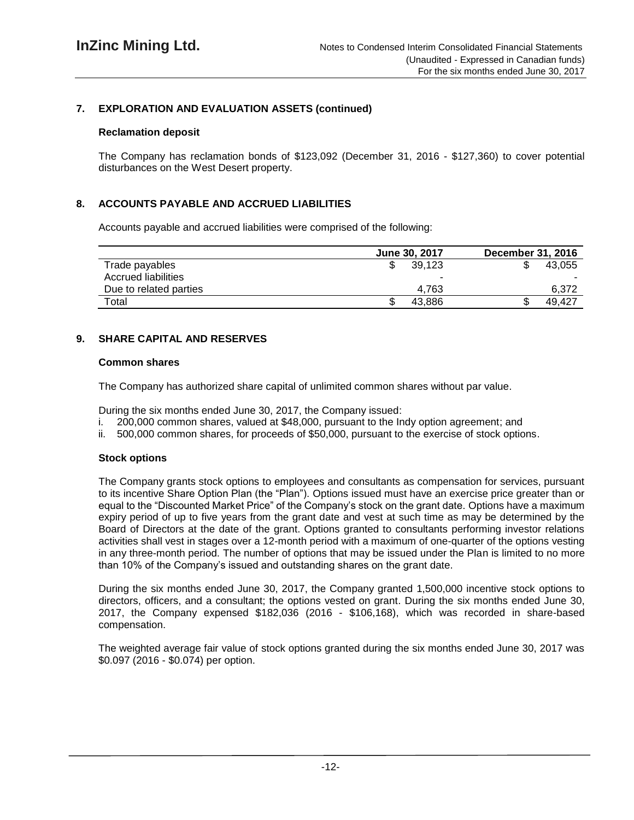# **7. EXPLORATION AND EVALUATION ASSETS (continued)**

#### **Reclamation deposit**

The Company has reclamation bonds of \$123,092 (December 31, 2016 - \$127,360) to cover potential disturbances on the West Desert property.

## **8. ACCOUNTS PAYABLE AND ACCRUED LIABILITIES**

Accounts payable and accrued liabilities were comprised of the following:

|                        | June 30, 2017 | <b>December 31, 2016</b> |
|------------------------|---------------|--------------------------|
| Trade payables         | 39,123        | 43.055                   |
| Accrued liabilities    | -             |                          |
| Due to related parties | 4.763         | 6.372                    |
| Total                  | 43.886        | 49,427                   |

## **9. SHARE CAPITAL AND RESERVES**

#### **Common shares**

The Company has authorized share capital of unlimited common shares without par value.

During the six months ended June 30, 2017, the Company issued:

- i. 200,000 common shares, valued at \$48,000, pursuant to the Indy option agreement; and
- ii. 500,000 common shares, for proceeds of \$50,000, pursuant to the exercise of stock options.

## **Stock options**

The Company grants stock options to employees and consultants as compensation for services, pursuant to its incentive Share Option Plan (the "Plan"). Options issued must have an exercise price greater than or equal to the "Discounted Market Price" of the Company's stock on the grant date. Options have a maximum expiry period of up to five years from the grant date and vest at such time as may be determined by the Board of Directors at the date of the grant. Options granted to consultants performing investor relations activities shall vest in stages over a 12-month period with a maximum of one-quarter of the options vesting in any three-month period. The number of options that may be issued under the Plan is limited to no more than 10% of the Company's issued and outstanding shares on the grant date.

During the six months ended June 30, 2017, the Company granted 1,500,000 incentive stock options to directors, officers, and a consultant; the options vested on grant. During the six months ended June 30, 2017, the Company expensed \$182,036 (2016 - \$106,168), which was recorded in share-based compensation.

The weighted average fair value of stock options granted during the six months ended June 30, 2017 was \$0.097 (2016 - \$0.074) per option.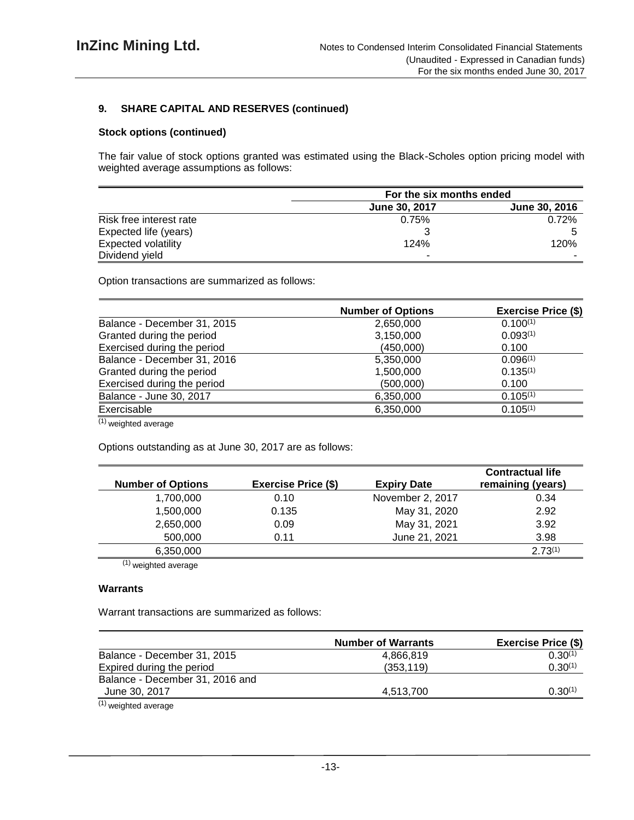## **9. SHARE CAPITAL AND RESERVES (continued)**

#### **Stock options (continued)**

The fair value of stock options granted was estimated using the Black-Scholes option pricing model with weighted average assumptions as follows:

|                            | For the six months ended |               |  |
|----------------------------|--------------------------|---------------|--|
|                            | <b>June 30, 2017</b>     | June 30, 2016 |  |
| Risk free interest rate    | 0.75%                    | 0.72%         |  |
| Expected life (years)      |                          |               |  |
| <b>Expected volatility</b> | 124%                     | 120%          |  |
| Dividend yield             |                          |               |  |

Option transactions are summarized as follows:

|                             | <b>Number of Options</b> | <b>Exercise Price (\$)</b> |
|-----------------------------|--------------------------|----------------------------|
| Balance - December 31, 2015 | 2,650,000                | $0.100^{(1)}$              |
| Granted during the period   | 3,150,000                | 0.093(1)                   |
| Exercised during the period | (450,000)                | 0.100                      |
| Balance - December 31, 2016 | 5,350,000                | 0.096(1)                   |
| Granted during the period   | 1,500,000                | $0.135^{(1)}$              |
| Exercised during the period | (500,000)                | 0.100                      |
| Balance - June 30, 2017     | 6,350,000                | $0.105^{(1)}$              |
| Exercisable                 | 6,350,000                | $0.105^{(1)}$              |
|                             |                          |                            |

(1) weighted average

Options outstanding as at June 30, 2017 are as follows:

| <b>Number of Options</b> | <b>Exercise Price (\$)</b> | <b>Expiry Date</b> | <b>Contractual life</b><br>remaining (years) |
|--------------------------|----------------------------|--------------------|----------------------------------------------|
| 1,700,000                | 0.10                       | November 2, 2017   | 0.34                                         |
| 1,500,000                | 0.135                      | May 31, 2020       | 2.92                                         |
| 2,650,000                | 0.09                       | May 31, 2021       | 3.92                                         |
| 500,000                  | 0.11                       | June 21, 2021      | 3.98                                         |
| 6,350,000                |                            |                    | $2.73^{(1)}$                                 |

 $\overline{^{(1)}}$  weighted average

#### **Warrants**

Warrant transactions are summarized as follows:

|                                 | <b>Number of Warrants</b> | <b>Exercise Price (\$)</b> |
|---------------------------------|---------------------------|----------------------------|
| Balance - December 31, 2015     | 4.866.819                 | $0.30^{(1)}$               |
| Expired during the period       | (353, 119)                | $0.30^{(1)}$               |
| Balance - December 31, 2016 and |                           |                            |
| June 30, 2017                   | 4.513.700                 | $0.30^{(1)}$               |
|                                 |                           |                            |

(1) weighted average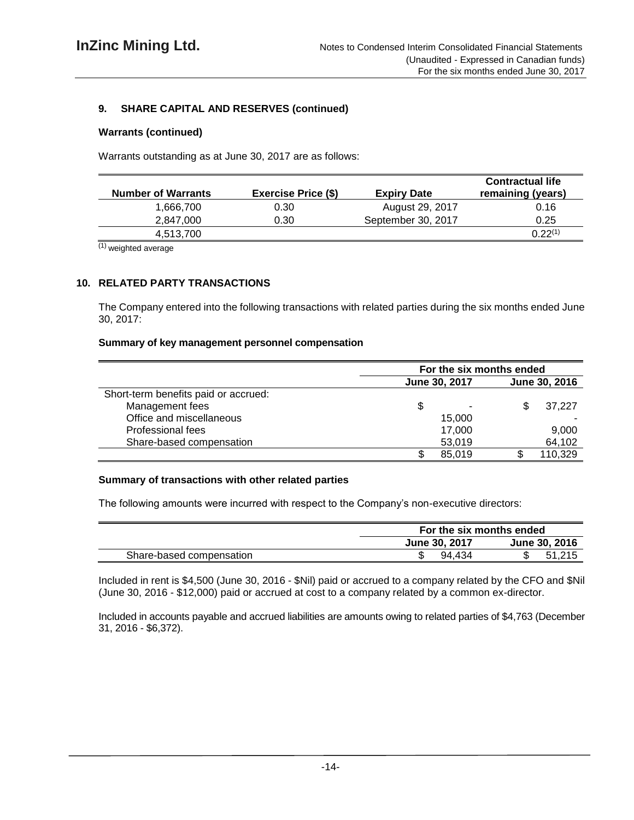# **9. SHARE CAPITAL AND RESERVES (continued)**

#### **Warrants (continued)**

Warrants outstanding as at June 30, 2017 are as follows:

| <b>Number of Warrants</b> | <b>Exercise Price (\$)</b> | <b>Expiry Date</b> | <b>Contractual life</b><br>remaining (years) |
|---------------------------|----------------------------|--------------------|----------------------------------------------|
| 1.666.700                 | 0.30                       | August 29, 2017    | 0.16                                         |
| 2.847.000                 | 0.30                       | September 30, 2017 | 0.25                                         |
| 4,513,700                 |                            |                    | $0.22^{(1)}$                                 |

(1) weighted average

## **10. RELATED PARTY TRANSACTIONS**

The Company entered into the following transactions with related parties during the six months ended June 30, 2017:

#### **Summary of key management personnel compensation**

|                                      | For the six months ended |               |  |         |
|--------------------------------------|--------------------------|---------------|--|---------|
|                                      | June 30, 2017            | June 30, 2016 |  |         |
| Short-term benefits paid or accrued: |                          |               |  |         |
| Management fees                      | \$                       |               |  | 37.227  |
| Office and miscellaneous             |                          | 15.000        |  |         |
| Professional fees                    |                          | 17.000        |  | 9,000   |
| Share-based compensation             |                          | 53,019        |  | 64,102  |
|                                      |                          | 85,019        |  | 110,329 |

#### **Summary of transactions with other related parties**

The following amounts were incurred with respect to the Company's non-executive directors:

|                          | For the six months ended              |        |  |
|--------------------------|---------------------------------------|--------|--|
|                          | June 30, 2016<br><b>June 30, 2017</b> |        |  |
| Share-based compensation | 94.434                                | 51.215 |  |

Included in rent is \$4,500 (June 30, 2016 - \$Nil) paid or accrued to a company related by the CFO and \$Nil (June 30, 2016 - \$12,000) paid or accrued at cost to a company related by a common ex-director.

Included in accounts payable and accrued liabilities are amounts owing to related parties of \$4,763 (December 31, 2016 - \$6,372).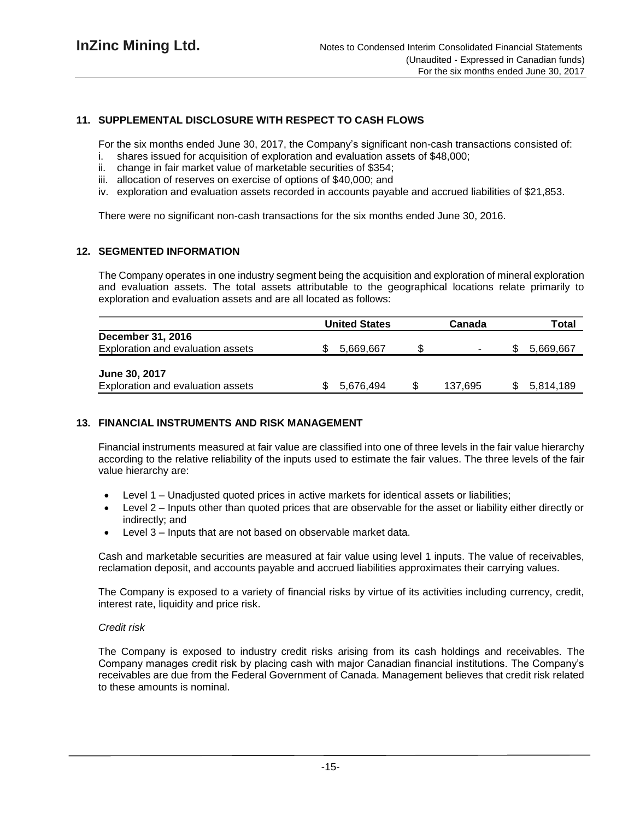# **11. SUPPLEMENTAL DISCLOSURE WITH RESPECT TO CASH FLOWS**

For the six months ended June 30, 2017, the Company's significant non-cash transactions consisted of:

- i. shares issued for acquisition of exploration and evaluation assets of \$48,000;
- ii. change in fair market value of marketable securities of \$354;
- iii. allocation of reserves on exercise of options of \$40,000; and
- iv. exploration and evaluation assets recorded in accounts payable and accrued liabilities of \$21,853.

There were no significant non-cash transactions for the six months ended June 30, 2016.

#### **12. SEGMENTED INFORMATION**

The Company operates in one industry segment being the acquisition and exploration of mineral exploration and evaluation assets. The total assets attributable to the geographical locations relate primarily to exploration and evaluation assets and are all located as follows:

|                                   | <b>United States</b> |           | Canada |         | Total |           |
|-----------------------------------|----------------------|-----------|--------|---------|-------|-----------|
| <b>December 31, 2016</b>          |                      |           |        |         |       |           |
| Exploration and evaluation assets |                      | 5.669.667 |        | ۰.      |       | 5,669,667 |
|                                   |                      |           |        |         |       |           |
| June 30, 2017                     |                      |           |        |         |       |           |
| Exploration and evaluation assets |                      | 5.676.494 |        | 137,695 |       | 5,814,189 |

## **13. FINANCIAL INSTRUMENTS AND RISK MANAGEMENT**

Financial instruments measured at fair value are classified into one of three levels in the fair value hierarchy according to the relative reliability of the inputs used to estimate the fair values. The three levels of the fair value hierarchy are:

- Level 1 Unadjusted quoted prices in active markets for identical assets or liabilities;
- Level 2 Inputs other than quoted prices that are observable for the asset or liability either directly or indirectly; and
- Level 3 Inputs that are not based on observable market data.

Cash and marketable securities are measured at fair value using level 1 inputs. The value of receivables, reclamation deposit, and accounts payable and accrued liabilities approximates their carrying values.

The Company is exposed to a variety of financial risks by virtue of its activities including currency, credit, interest rate, liquidity and price risk.

#### *Credit risk*

The Company is exposed to industry credit risks arising from its cash holdings and receivables. The Company manages credit risk by placing cash with major Canadian financial institutions. The Company's receivables are due from the Federal Government of Canada. Management believes that credit risk related to these amounts is nominal.